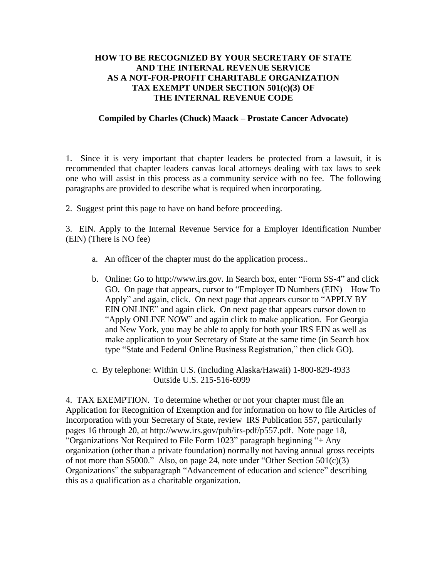## **HOW TO BE RECOGNIZED BY YOUR SECRETARY OF STATE AND THE INTERNAL REVENUE SERVICE AS A NOT-FOR-PROFIT CHARITABLE ORGANIZATION TAX EXEMPT UNDER SECTION 501(c)(3) OF THE INTERNAL REVENUE CODE**

## **Compiled by Charles (Chuck) Maack – Prostate Cancer Advocate)**

1. Since it is very important that chapter leaders be protected from a lawsuit, it is recommended that chapter leaders canvas local attorneys dealing with tax laws to seek one who will assist in this process as a community service with no fee. The following paragraphs are provided to describe what is required when incorporating.

2. Suggest print this page to have on hand before proceeding.

3. EIN. Apply to the Internal Revenue Service for a Employer Identification Number (EIN) (There is NO fee)

- a. An officer of the chapter must do the application process..
- b. Online: Go to http://www.irs.gov. In Search box, enter "Form SS-4" and click GO. On page that appears, cursor to "Employer ID Numbers (EIN) – How To Apply" and again, click. On next page that appears cursor to "APPLY BY EIN ONLINE" and again click. On next page that appears cursor down to "Apply ONLINE NOW" and again click to make application. For Georgia and New York, you may be able to apply for both your IRS EIN as well as make application to your Secretary of State at the same time (in Search box type "State and Federal Online Business Registration," then click GO).
- c. By telephone: Within U.S. (including Alaska/Hawaii) 1-800-829-4933 Outside U.S. 215-516-6999

4. TAX EXEMPTION. To determine whether or not your chapter must file an Application for Recognition of Exemption and for information on how to file Articles of Incorporation with your Secretary of State, review IRS Publication 557, particularly pages 16 through 20, at http://www.irs.gov/pub/irs-pdf/p557.pdf. Note page 18, "Organizations Not Required to File Form 1023" paragraph beginning "+ Any organization (other than a private foundation) normally not having annual gross receipts of not more than \$5000." Also, on page 24, note under "Other Section 501(c)(3) Organizations" the subparagraph "Advancement of education and science" describing this as a qualification as a charitable organization.